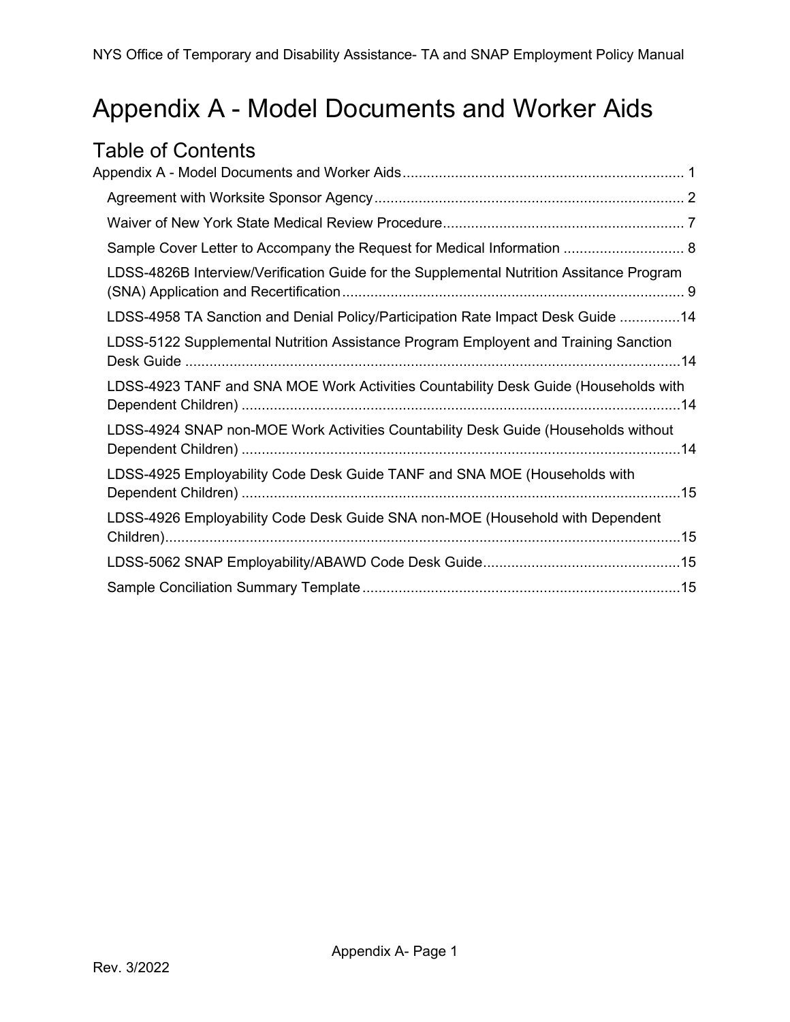# <span id="page-0-0"></span>Appendix A - Model Documents and Worker Aids

|  | Table of Contents                                                                        |  |  |  |  |
|--|------------------------------------------------------------------------------------------|--|--|--|--|
|  |                                                                                          |  |  |  |  |
|  |                                                                                          |  |  |  |  |
|  |                                                                                          |  |  |  |  |
|  | Sample Cover Letter to Accompany the Request for Medical Information  8                  |  |  |  |  |
|  | LDSS-4826B Interview/Verification Guide for the Supplemental Nutrition Assitance Program |  |  |  |  |
|  | LDSS-4958 TA Sanction and Denial Policy/Participation Rate Impact Desk Guide 14          |  |  |  |  |
|  | LDSS-5122 Supplemental Nutrition Assistance Program Employent and Training Sanction      |  |  |  |  |
|  | LDSS-4923 TANF and SNA MOE Work Activities Countability Desk Guide (Households with      |  |  |  |  |
|  | LDSS-4924 SNAP non-MOE Work Activities Countability Desk Guide (Households without       |  |  |  |  |
|  | LDSS-4925 Employability Code Desk Guide TANF and SNA MOE (Households with                |  |  |  |  |
|  | LDSS-4926 Employability Code Desk Guide SNA non-MOE (Household with Dependent            |  |  |  |  |
|  |                                                                                          |  |  |  |  |
|  |                                                                                          |  |  |  |  |
|  |                                                                                          |  |  |  |  |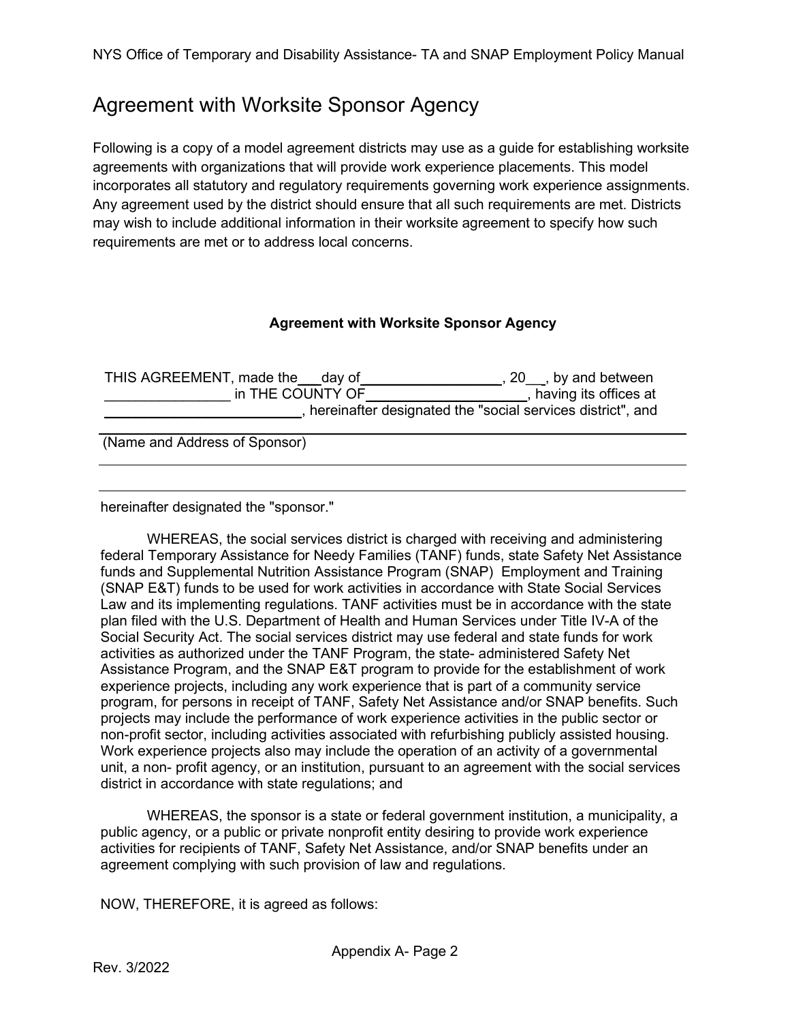### <span id="page-1-0"></span>Agreement with Worksite Sponsor Agency

Following is a copy of a model agreement districts may use as a guide for establishing worksite agreements with organizations that will provide work experience placements. This model incorporates all statutory and regulatory requirements governing work experience assignments. Any agreement used by the district should ensure that all such requirements are met. Districts may wish to include additional information in their worksite agreement to specify how such requirements are met or to address local concerns.

### **Agreement with Worksite Sponsor Agency**

| THIS AGREEMENT, made the day of |  | $, 20$ , by and between                                    |  |  |  |  |  |
|---------------------------------|--|------------------------------------------------------------|--|--|--|--|--|
| in THE COUNTY OF                |  | having its offices at                                      |  |  |  |  |  |
|                                 |  | hereinafter designated the "social services district", and |  |  |  |  |  |
|                                 |  |                                                            |  |  |  |  |  |
| (Name and Address of Sponsor)   |  |                                                            |  |  |  |  |  |
|                                 |  |                                                            |  |  |  |  |  |
|                                 |  |                                                            |  |  |  |  |  |

hereinafter designated the "sponsor."

WHEREAS, the social services district is charged with receiving and administering federal Temporary Assistance for Needy Families (TANF) funds, state Safety Net Assistance funds and Supplemental Nutrition Assistance Program (SNAP) Employment and Training (SNAP E&T) funds to be used for work activities in accordance with State Social Services Law and its implementing regulations. TANF activities must be in accordance with the state plan filed with the U.S. Department of Health and Human Services under Title IV-A of the Social Security Act. The social services district may use federal and state funds for work activities as authorized under the TANF Program, the state- administered Safety Net Assistance Program, and the SNAP E&T program to provide for the establishment of work experience projects, including any work experience that is part of a community service program, for persons in receipt of TANF, Safety Net Assistance and/or SNAP benefits. Such projects may include the performance of work experience activities in the public sector or non-profit sector, including activities associated with refurbishing publicly assisted housing. Work experience projects also may include the operation of an activity of a governmental unit, a non- profit agency, or an institution, pursuant to an agreement with the social services district in accordance with state regulations; and

WHEREAS, the sponsor is a state or federal government institution, a municipality, a public agency, or a public or private nonprofit entity desiring to provide work experience activities for recipients of TANF, Safety Net Assistance, and/or SNAP benefits under an agreement complying with such provision of law and regulations.

NOW, THEREFORE, it is agreed as follows: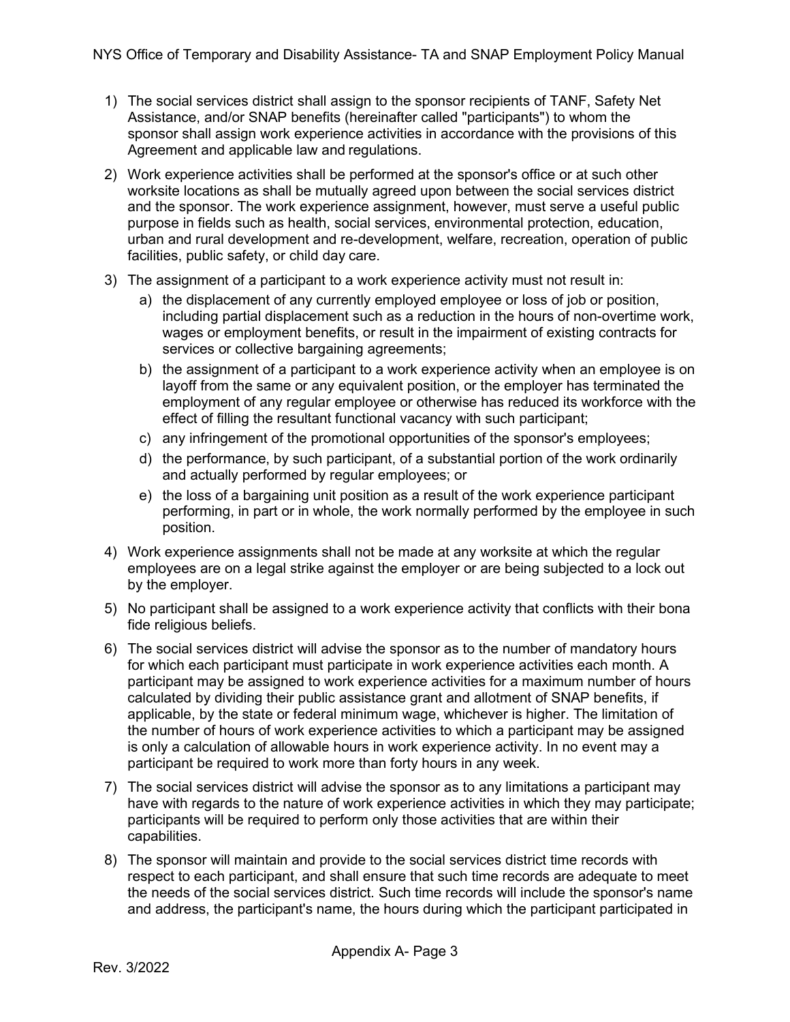- 1) The social services district shall assign to the sponsor recipients of TANF, Safety Net Assistance, and/or SNAP benefits (hereinafter called "participants") to whom the sponsor shall assign work experience activities in accordance with the provisions of this Agreement and applicable law and regulations.
- 2) Work experience activities shall be performed at the sponsor's office or at such other worksite locations as shall be mutually agreed upon between the social services district and the sponsor. The work experience assignment, however, must serve a useful public purpose in fields such as health, social services, environmental protection, education, urban and rural development and re-development, welfare, recreation, operation of public facilities, public safety, or child day care.
- 3) The assignment of a participant to a work experience activity must not result in:
	- a) the displacement of any currently employed employee or loss of job or position, including partial displacement such as a reduction in the hours of non-overtime work, wages or employment benefits, or result in the impairment of existing contracts for services or collective bargaining agreements;
	- b) the assignment of a participant to a work experience activity when an employee is on layoff from the same or any equivalent position, or the employer has terminated the employment of any regular employee or otherwise has reduced its workforce with the effect of filling the resultant functional vacancy with such participant;
	- c) any infringement of the promotional opportunities of the sponsor's employees;
	- d) the performance, by such participant, of a substantial portion of the work ordinarily and actually performed by regular employees; or
	- e) the loss of a bargaining unit position as a result of the work experience participant performing, in part or in whole, the work normally performed by the employee in such position.
- 4) Work experience assignments shall not be made at any worksite at which the regular employees are on a legal strike against the employer or are being subjected to a lock out by the employer.
- 5) No participant shall be assigned to a work experience activity that conflicts with their bona fide religious beliefs.
- 6) The social services district will advise the sponsor as to the number of mandatory hours for which each participant must participate in work experience activities each month. A participant may be assigned to work experience activities for a maximum number of hours calculated by dividing their public assistance grant and allotment of SNAP benefits, if applicable, by the state or federal minimum wage, whichever is higher. The limitation of the number of hours of work experience activities to which a participant may be assigned is only a calculation of allowable hours in work experience activity. In no event may a participant be required to work more than forty hours in any week.
- 7) The social services district will advise the sponsor as to any limitations a participant may have with regards to the nature of work experience activities in which they may participate; participants will be required to perform only those activities that are within their capabilities.
- 8) The sponsor will maintain and provide to the social services district time records with respect to each participant, and shall ensure that such time records are adequate to meet the needs of the social services district. Such time records will include the sponsor's name and address, the participant's name, the hours during which the participant participated in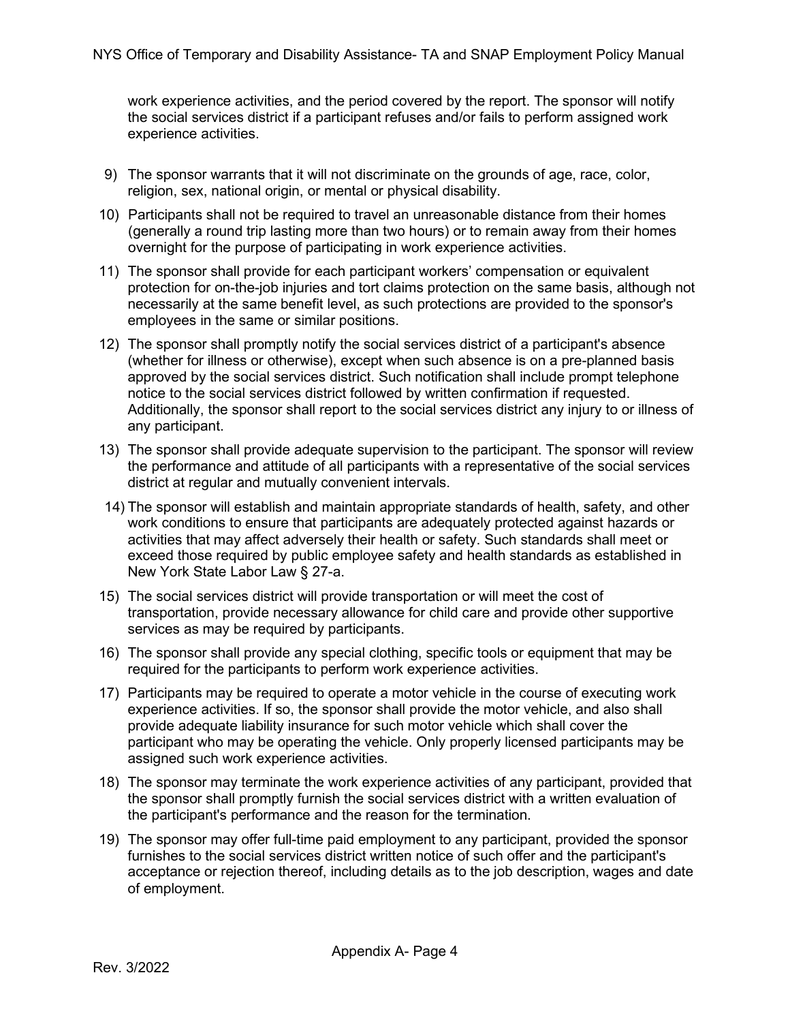work experience activities, and the period covered by the report. The sponsor will notify the social services district if a participant refuses and/or fails to perform assigned work experience activities.

- 9) The sponsor warrants that it will not discriminate on the grounds of age, race, color, religion, sex, national origin, or mental or physical disability.
- 10) Participants shall not be required to travel an unreasonable distance from their homes (generally a round trip lasting more than two hours) or to remain away from their homes overnight for the purpose of participating in work experience activities.
- 11) The sponsor shall provide for each participant workers' compensation or equivalent protection for on-the-job injuries and tort claims protection on the same basis, although not necessarily at the same benefit level, as such protections are provided to the sponsor's employees in the same or similar positions.
- 12) The sponsor shall promptly notify the social services district of a participant's absence (whether for illness or otherwise), except when such absence is on a pre-planned basis approved by the social services district. Such notification shall include prompt telephone notice to the social services district followed by written confirmation if requested. Additionally, the sponsor shall report to the social services district any injury to or illness of any participant.
- 13) The sponsor shall provide adequate supervision to the participant. The sponsor will review the performance and attitude of all participants with a representative of the social services district at regular and mutually convenient intervals.
- 14) The sponsor will establish and maintain appropriate standards of health, safety, and other work conditions to ensure that participants are adequately protected against hazards or activities that may affect adversely their health or safety. Such standards shall meet or exceed those required by public employee safety and health standards as established in New York State Labor Law § 27-a.
- 15) The social services district will provide transportation or will meet the cost of transportation, provide necessary allowance for child care and provide other supportive services as may be required by participants.
- 16) The sponsor shall provide any special clothing, specific tools or equipment that may be required for the participants to perform work experience activities.
- 17) Participants may be required to operate a motor vehicle in the course of executing work experience activities. If so, the sponsor shall provide the motor vehicle, and also shall provide adequate liability insurance for such motor vehicle which shall cover the participant who may be operating the vehicle. Only properly licensed participants may be assigned such work experience activities.
- 18) The sponsor may terminate the work experience activities of any participant, provided that the sponsor shall promptly furnish the social services district with a written evaluation of the participant's performance and the reason for the termination.
- 19) The sponsor may offer full-time paid employment to any participant, provided the sponsor furnishes to the social services district written notice of such offer and the participant's acceptance or rejection thereof, including details as to the job description, wages and date of employment.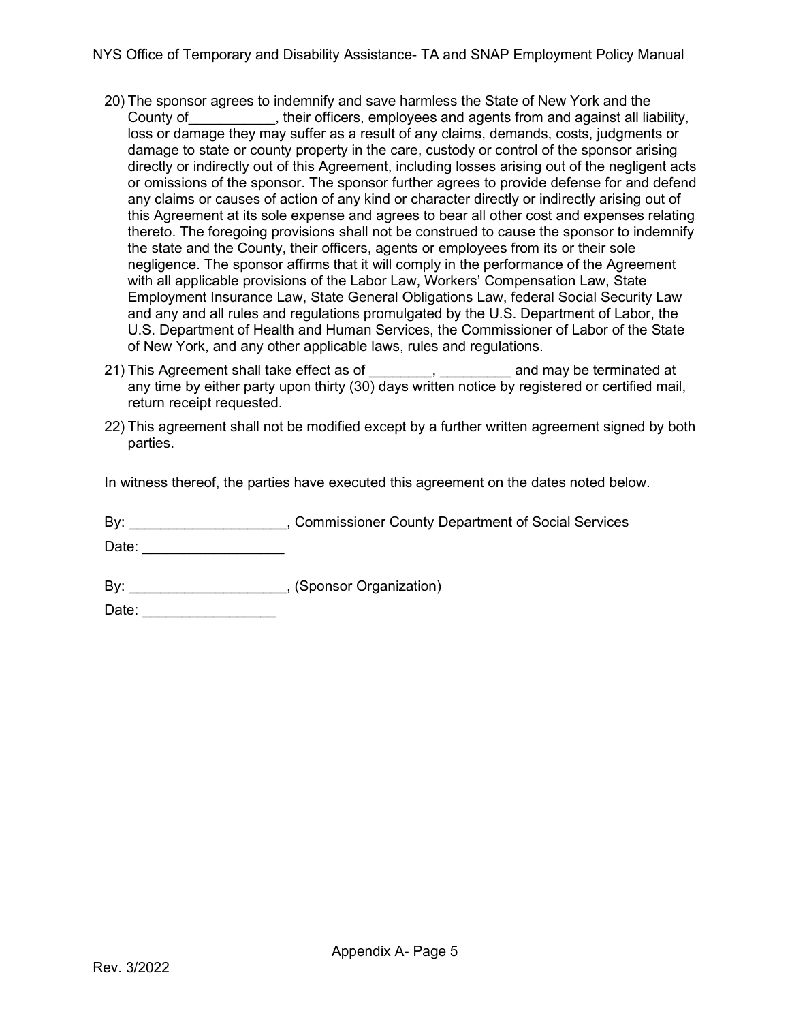- 20) The sponsor agrees to indemnify and save harmless the State of New York and the County of County of County of County of County of County of County and against all liability, loss or damage they may suffer as a result of any claims, demands, costs, judgments or damage to state or county property in the care, custody or control of the sponsor arising directly or indirectly out of this Agreement, including losses arising out of the negligent acts or omissions of the sponsor. The sponsor further agrees to provide defense for and defend any claims or causes of action of any kind or character directly or indirectly arising out of this Agreement at its sole expense and agrees to bear all other cost and expenses relating thereto. The foregoing provisions shall not be construed to cause the sponsor to indemnify the state and the County, their officers, agents or employees from its or their sole negligence. The sponsor affirms that it will comply in the performance of the Agreement with all applicable provisions of the Labor Law, Workers' Compensation Law, State Employment Insurance Law, State General Obligations Law, federal Social Security Law and any and all rules and regulations promulgated by the U.S. Department of Labor, the U.S. Department of Health and Human Services, the Commissioner of Labor of the State of New York, and any other applicable laws, rules and regulations.
- 21) This Agreement shall take effect as of \_\_\_\_\_\_\_\_, \_\_\_\_\_\_\_\_\_ and may be terminated at any time by either party upon thirty (30) days written notice by registered or certified mail, return receipt requested.
- 22) This agreement shall not be modified except by a further written agreement signed by both parties.

In witness thereof, the parties have executed this agreement on the dates noted below.

By: \_\_\_\_\_\_\_\_\_\_\_\_\_\_\_\_\_\_\_\_\_\_, Commissioner County Department of Social Services

 $Date:$ 

By: \_\_\_\_\_\_\_\_\_\_\_\_\_\_\_\_\_\_\_\_\_\_\_, (Sponsor Organization)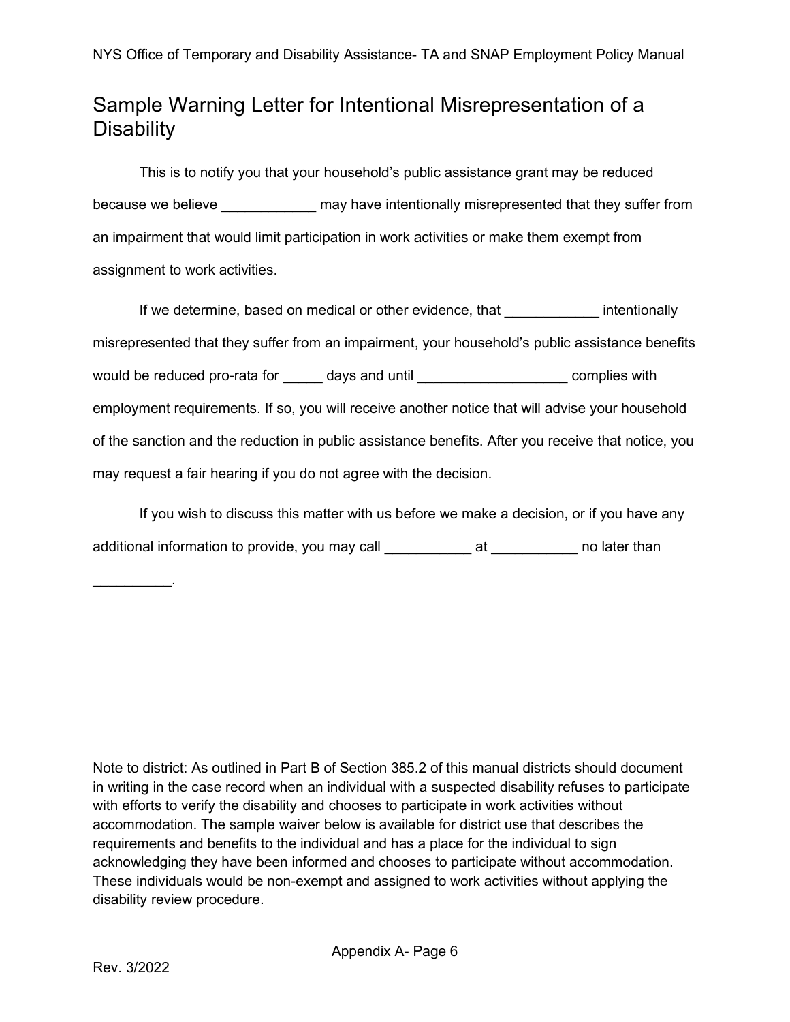### Sample Warning Letter for Intentional Misrepresentation of a **Disability**

This is to notify you that your household's public assistance grant may be reduced because we believe \_\_\_\_\_\_\_\_\_\_\_\_\_\_ may have intentionally misrepresented that they suffer from an impairment that would limit participation in work activities or make them exempt from assignment to work activities.

If we determine, based on medical or other evidence, that The Muslim entionally misrepresented that they suffer from an impairment, your household's public assistance benefits would be reduced pro-rata for days and until example the complies with employment requirements. If so, you will receive another notice that will advise your household of the sanction and the reduction in public assistance benefits. After you receive that notice, you may request a fair hearing if you do not agree with the decision.

If you wish to discuss this matter with us before we make a decision, or if you have any additional information to provide, you may call exact at the mollater than

Note to district: As outlined in Part B of Section 385.2 of this manual districts should document in writing in the case record when an individual with a suspected disability refuses to participate with efforts to verify the disability and chooses to participate in work activities without accommodation. The sample waiver below is available for district use that describes the requirements and benefits to the individual and has a place for the individual to sign acknowledging they have been informed and chooses to participate without accommodation. These individuals would be non-exempt and assigned to work activities without applying the disability review procedure.

\_\_\_\_\_\_\_\_\_\_.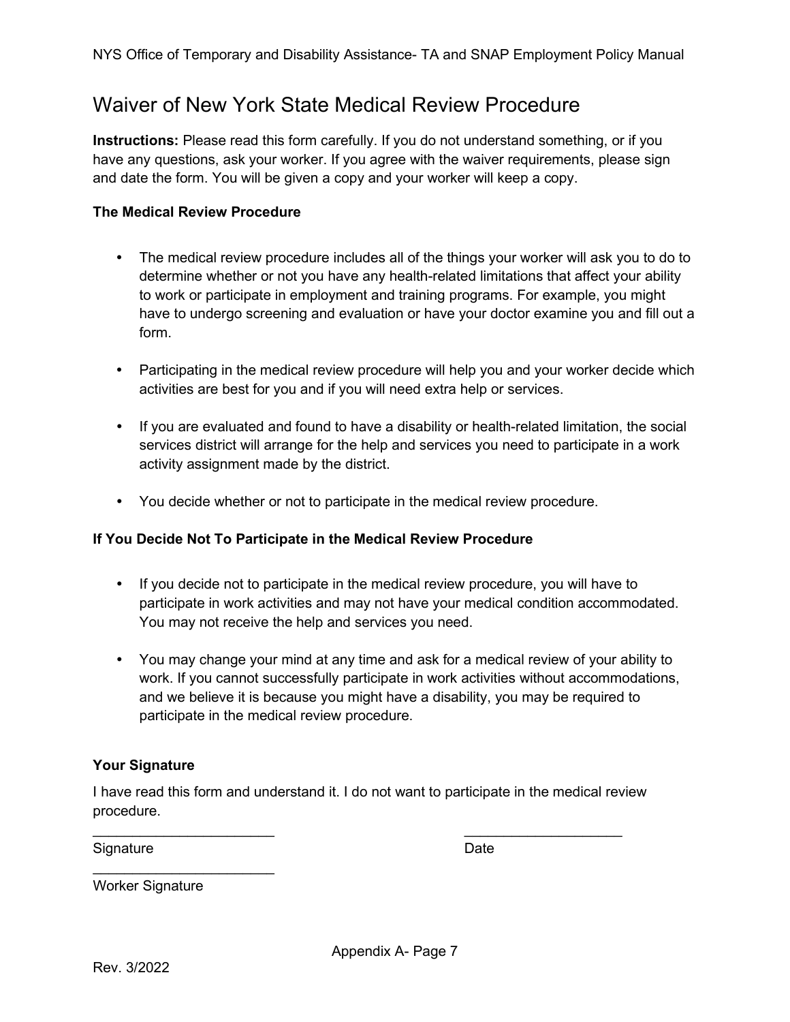### <span id="page-6-0"></span>Waiver of New York State Medical Review Procedure

**Instructions:** Please read this form carefully. If you do not understand something, or if you have any questions, ask your worker. If you agree with the waiver requirements, please sign and date the form. You will be given a copy and your worker will keep a copy.

#### **The Medical Review Procedure**

- The medical review procedure includes all of the things your worker will ask you to do to determine whether or not you have any health-related limitations that affect your ability to work or participate in employment and training programs. For example, you might have to undergo screening and evaluation or have your doctor examine you and fill out a form.
- Participating in the medical review procedure will help you and your worker decide which activities are best for you and if you will need extra help or services.
- If you are evaluated and found to have a disability or health-related limitation, the social services district will arrange for the help and services you need to participate in a work activity assignment made by the district.
- You decide whether or not to participate in the medical review procedure.

#### **If You Decide Not To Participate in the Medical Review Procedure**

- If you decide not to participate in the medical review procedure, you will have to participate in work activities and may not have your medical condition accommodated. You may not receive the help and services you need.
- You may change your mind at any time and ask for a medical review of your ability to work. If you cannot successfully participate in work activities without accommodations, and we believe it is because you might have a disability, you may be required to participate in the medical review procedure.

#### **Your Signature**

I have read this form and understand it. I do not want to participate in the medical review procedure.

 $\overline{\phantom{a}}$  , and the contract of the contract of the contract of the contract of the contract of the contract of the contract of the contract of the contract of the contract of the contract of the contract of the contrac

Signature Date Date Date

Worker Signature

 $\overline{\phantom{a}}$  , where  $\overline{\phantom{a}}$  , where  $\overline{\phantom{a}}$  , where  $\overline{\phantom{a}}$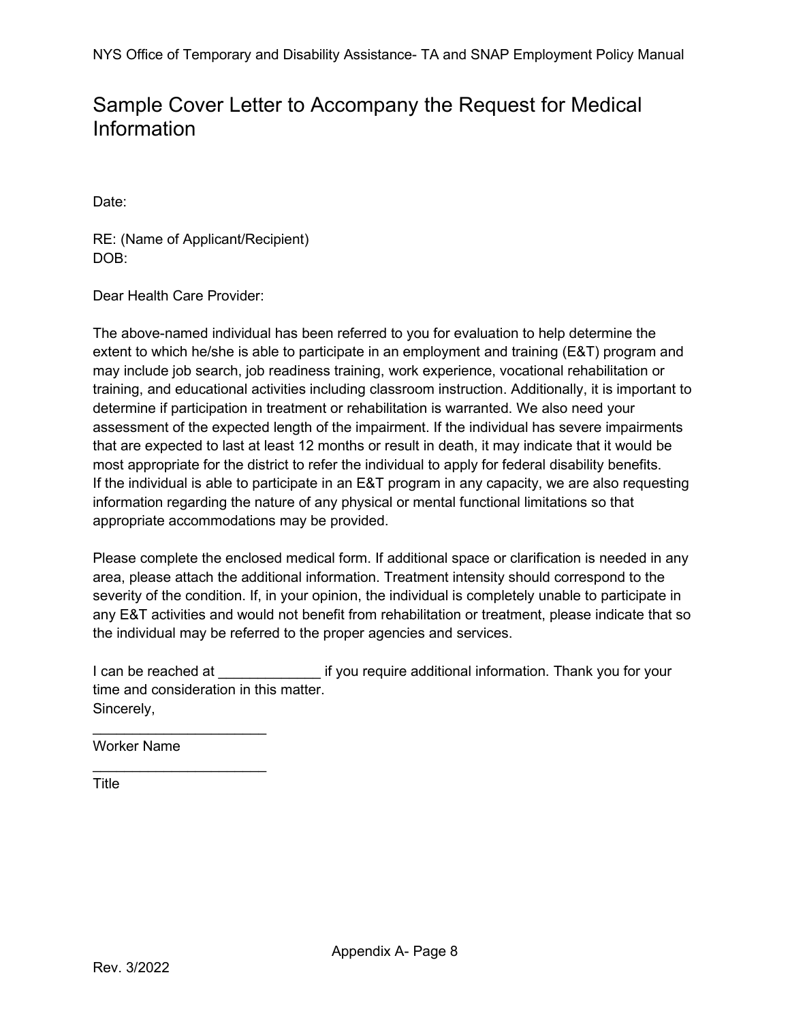### <span id="page-7-0"></span>Sample Cover Letter to Accompany the Request for Medical Information

Date:

RE: (Name of Applicant/Recipient) DOB:

Dear Health Care Provider:

The above-named individual has been referred to you for evaluation to help determine the extent to which he/she is able to participate in an employment and training (E&T) program and may include job search, job readiness training, work experience, vocational rehabilitation or training, and educational activities including classroom instruction. Additionally, it is important to determine if participation in treatment or rehabilitation is warranted. We also need your assessment of the expected length of the impairment. If the individual has severe impairments that are expected to last at least 12 months or result in death, it may indicate that it would be most appropriate for the district to refer the individual to apply for federal disability benefits. If the individual is able to participate in an E&T program in any capacity, we are also requesting information regarding the nature of any physical or mental functional limitations so that appropriate accommodations may be provided.

Please complete the enclosed medical form. If additional space or clarification is needed in any area, please attach the additional information. Treatment intensity should correspond to the severity of the condition. If, in your opinion, the individual is completely unable to participate in any E&T activities and would not benefit from rehabilitation or treatment, please indicate that so the individual may be referred to the proper agencies and services.

I can be reached at The state of the require additional information. Thank you for your time and consideration in this matter. Sincerely,

Worker Name

 $\frac{1}{2}$  , and the set of the set of the set of the set of the set of the set of the set of the set of the set of the set of the set of the set of the set of the set of the set of the set of the set of the set of the set

 $\mathcal{L}=\mathcal{L}^{\mathcal{L}}$  , where  $\mathcal{L}^{\mathcal{L}}$  , we have the set of the set of the set of the set of the set of the set of the set of the set of the set of the set of the set of the set of the set of the set of the set of

**Title**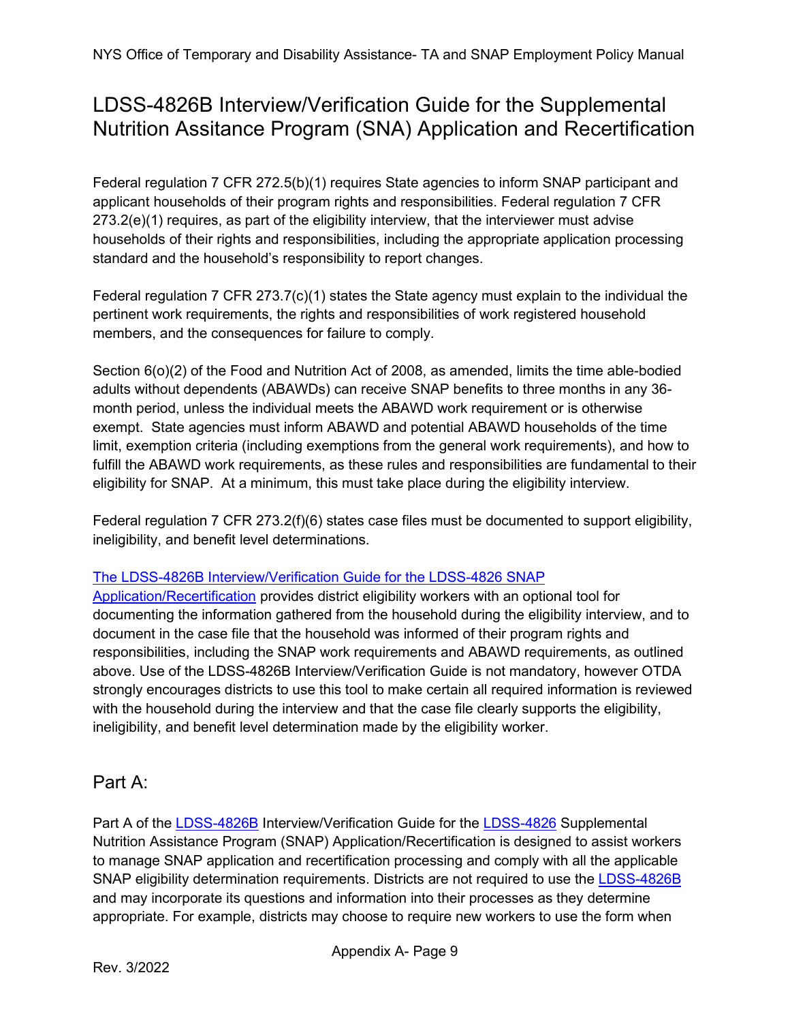## <span id="page-8-0"></span>LDSS-4826B Interview/Verification Guide for the Supplemental Nutrition Assitance Program (SNA) Application and Recertification

Federal regulation 7 CFR 272.5(b)(1) requires State agencies to inform SNAP participant and applicant households of their program rights and responsibilities. Federal regulation 7 CFR 273.2(e)(1) requires, as part of the eligibility interview, that the interviewer must advise households of their rights and responsibilities, including the appropriate application processing standard and the household's responsibility to report changes.

Federal regulation 7 CFR 273.7(c)(1) states the State agency must explain to the individual the pertinent work requirements, the rights and responsibilities of work registered household members, and the consequences for failure to comply.

Section 6(o)(2) of the Food and Nutrition Act of 2008, as amended, limits the time able-bodied adults without dependents (ABAWDs) can receive SNAP benefits to three months in any 36 month period, unless the individual meets the ABAWD work requirement or is otherwise exempt. State agencies must inform ABAWD and potential ABAWD households of the time limit, exemption criteria (including exemptions from the general work requirements), and how to fulfill the ABAWD work requirements, as these rules and responsibilities are fundamental to their eligibility for SNAP. At a minimum, this must take place during the eligibility interview.

Federal regulation 7 CFR 273.2(f)(6) states case files must be documented to support eligibility, ineligibility, and benefit level determinations.

### [The LDSS-4826B Interview/Verification Guide for the LDSS-4826 SNAP](https://otda.state.nyenet/ldss_eforms/eforms/4826B.pdf)

[Application/Recertification](https://otda.state.nyenet/ldss_eforms/eforms/4826B.pdf) provides district eligibility workers with an optional tool for documenting the information gathered from the household during the eligibility interview, and to document in the case file that the household was informed of their program rights and responsibilities, including the SNAP work requirements and ABAWD requirements, as outlined above. Use of the LDSS-4826B Interview/Verification Guide is not mandatory, however OTDA strongly encourages districts to use this tool to make certain all required information is reviewed with the household during the interview and that the case file clearly supports the eligibility, ineligibility, and benefit level determination made by the eligibility worker.

### Part A:

Part A of the [LDSS-4826B](http://otda.state.nyenet/ldss_eforms/eforms/4826B.pdf) Interview/Verification Guide for the [LDSS-4826](https://otda.ny.gov/programs/applications/4826.pdf) Supplemental Nutrition Assistance Program (SNAP) Application/Recertification is designed to assist workers to manage SNAP application and recertification processing and comply with all the applicable SNAP eligibility determination requirements. Districts are not required to use the [LDSS-4826B](http://otda.state.nyenet/ldss_eforms/eforms/4826B.pdf) and may incorporate its questions and information into their processes as they determine appropriate. For example, districts may choose to require new workers to use the form when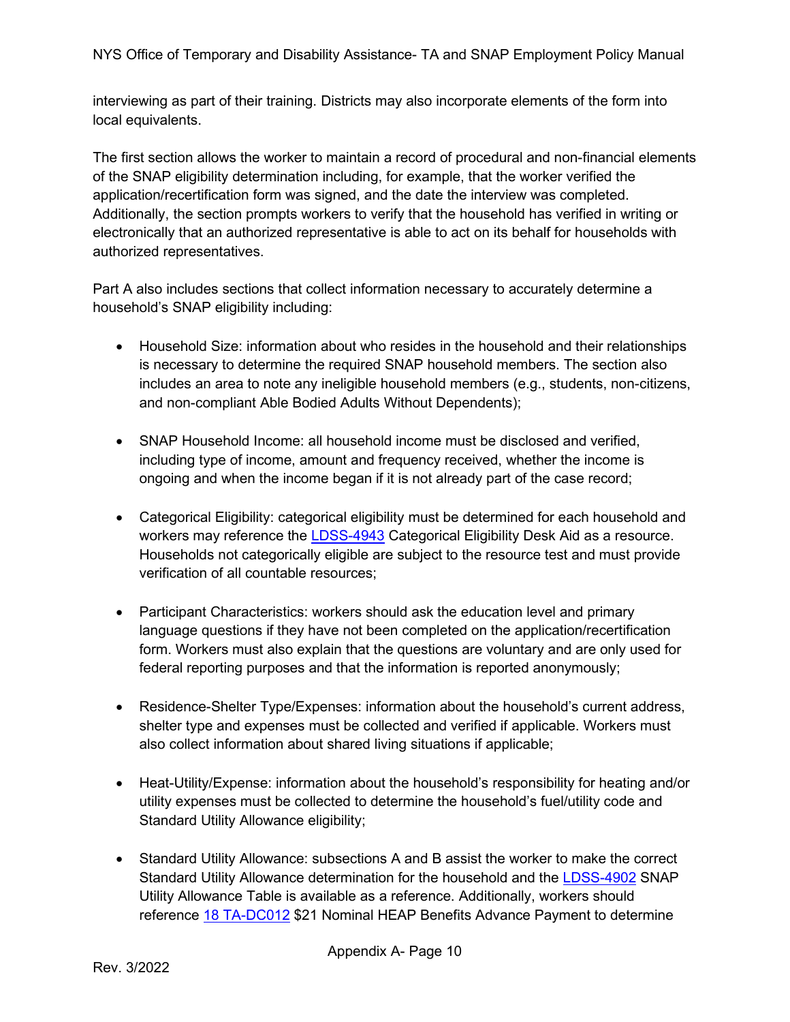NYS Office of Temporary and Disability Assistance- TA and SNAP Employment Policy Manual

interviewing as part of their training. Districts may also incorporate elements of the form into local equivalents.

The first section allows the worker to maintain a record of procedural and non-financial elements of the SNAP eligibility determination including, for example, that the worker verified the application/recertification form was signed, and the date the interview was completed. Additionally, the section prompts workers to verify that the household has verified in writing or electronically that an authorized representative is able to act on its behalf for households with authorized representatives.

Part A also includes sections that collect information necessary to accurately determine a household's SNAP eligibility including:

- Household Size: information about who resides in the household and their relationships is necessary to determine the required SNAP household members. The section also includes an area to note any ineligible household members (e.g., students, non-citizens, and non-compliant Able Bodied Adults Without Dependents);
- SNAP Household Income: all household income must be disclosed and verified, including type of income, amount and frequency received, whether the income is ongoing and when the income began if it is not already part of the case record;
- Categorical Eligibility: categorical eligibility must be determined for each household and workers may reference the [LDSS-4943](https://otda.state.nyenet/ldss_eforms/eforms/4943.pdf) Categorical Eligibility Desk Aid as a resource. Households not categorically eligible are subject to the resource test and must provide verification of all countable resources;
- Participant Characteristics: workers should ask the education level and primary language questions if they have not been completed on the application/recertification form. Workers must also explain that the questions are voluntary and are only used for federal reporting purposes and that the information is reported anonymously;
- Residence-Shelter Type/Expenses: information about the household's current address, shelter type and expenses must be collected and verified if applicable. Workers must also collect information about shared living situations if applicable;
- Heat-Utility/Expense: information about the household's responsibility for heating and/or utility expenses must be collected to determine the household's fuel/utility code and Standard Utility Allowance eligibility;
- Standard Utility Allowance: subsections A and B assist the worker to make the correct Standard Utility Allowance determination for the household and the [LDSS-4902](https://otda.state.nyenet/ldss_eforms/eforms/4902.pdf) SNAP Utility Allowance Table is available as a reference. Additionally, workers should reference [18 TA-DC012](https://otda.ny.gov/policy/gis/2018/18DC012.pdf) \$21 Nominal HEAP Benefits Advance Payment to determine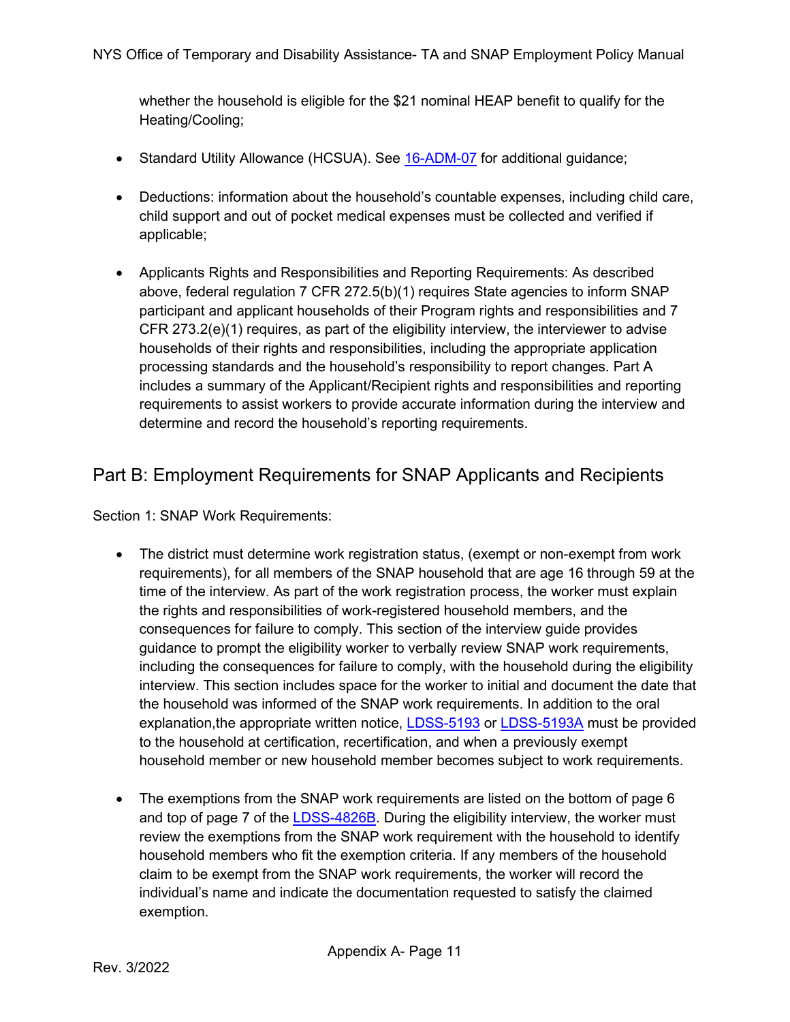whether the household is eligible for the \$21 nominal HEAP benefit to qualify for the Heating/Cooling;

- Standard Utility Allowance (HCSUA). See [16-ADM-07](https://otda.ny.gov/policy/directives/2016/ADM/16-ADM-07.pdf) for additional guidance;
- Deductions: information about the household's countable expenses, including child care, child support and out of pocket medical expenses must be collected and verified if applicable;
- Applicants Rights and Responsibilities and Reporting Requirements: As described above, federal regulation 7 CFR 272.5(b)(1) requires State agencies to inform SNAP participant and applicant households of their Program rights and responsibilities and 7 CFR 273.2(e)(1) requires, as part of the eligibility interview, the interviewer to advise households of their rights and responsibilities, including the appropriate application processing standards and the household's responsibility to report changes. Part A includes a summary of the Applicant/Recipient rights and responsibilities and reporting requirements to assist workers to provide accurate information during the interview and determine and record the household's reporting requirements.

### Part B: Employment Requirements for SNAP Applicants and Recipients

Section 1: SNAP Work Requirements:

- The district must determine work registration status, (exempt or non-exempt from work requirements), for all members of the SNAP household that are age 16 through 59 at the time of the interview. As part of the work registration process, the worker must explain the rights and responsibilities of work-registered household members, and the consequences for failure to comply. This section of the interview guide provides guidance to prompt the eligibility worker to verbally review SNAP work requirements, including the consequences for failure to comply, with the household during the eligibility interview. This section includes space for the worker to initial and document the date that the household was informed of the SNAP work requirements. In addition to the oral explanation, the appropriate written notice, **LDSS-5193** or **LDSS-5193A** must be provided to the household at certification, recertification, and when a previously exempt household member or new household member becomes subject to work requirements.
- The exemptions from the SNAP work requirements are listed on the bottom of page 6 and top of page 7 of the [LDSS-4826B.](http://otda.state.nyenet/ldss_eforms/eforms/4826B.pdf) During the eligibility interview, the worker must review the exemptions from the SNAP work requirement with the household to identify household members who fit the exemption criteria. If any members of the household claim to be exempt from the SNAP work requirements, the worker will record the individual's name and indicate the documentation requested to satisfy the claimed exemption.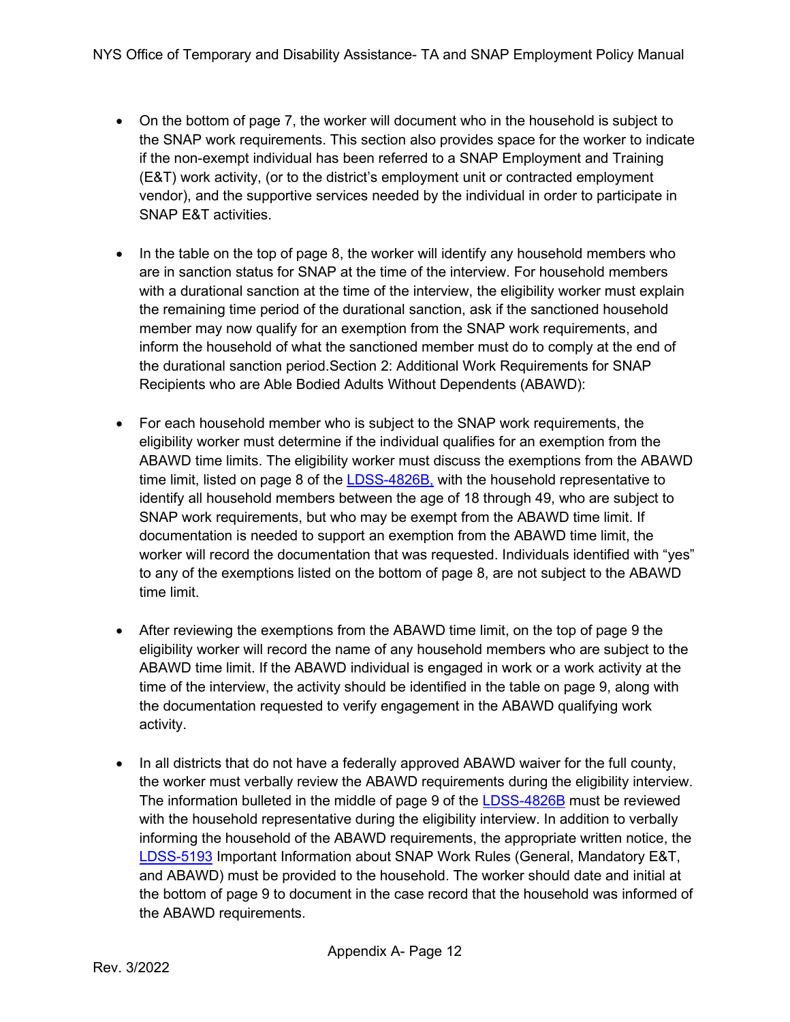- On the bottom of page 7, the worker will document who in the household is subject to the SNAP work requirements. This section also provides space for the worker to indicate if the non-exempt individual has been referred to a SNAP Employment and Training (E&T) work activity, (or to the district's employment unit or contracted employment vendor), and the supportive services needed by the individual in order to participate in SNAP E&T activities.
- In the table on the top of page 8, the worker will identify any household members who are in sanction status for SNAP at the time of the interview. For household members with a durational sanction at the time of the interview, the eligibility worker must explain the remaining time period of the durational sanction, ask if the sanctioned household member may now qualify for an exemption from the SNAP work requirements, and inform the household of what the sanctioned member must do to comply at the end of the durational sanction period.Section 2: Additional Work Requirements for SNAP Recipients who are Able Bodied Adults Without Dependents (ABAWD):
- For each household member who is subject to the SNAP work requirements, the eligibility worker must determine if the individual qualifies for an exemption from the ABAWD time limits. The eligibility worker must discuss the exemptions from the ABAWD time limit, listed on page 8 of the [LDSS-4826B,](http://otda.state.nyenet/ldss_eforms/eforms/4826B.pdf) with the household representative to identify all household members between the age of 18 through 49, who are subject to SNAP work requirements, but who may be exempt from the ABAWD time limit. If documentation is needed to support an exemption from the ABAWD time limit, the worker will record the documentation that was requested. Individuals identified with "yes" to any of the exemptions listed on the bottom of page 8, are not subject to the ABAWD time limit.
- After reviewing the exemptions from the ABAWD time limit, on the top of page 9 the eligibility worker will record the name of any household members who are subject to the ABAWD time limit. If the ABAWD individual is engaged in work or a work activity at the time of the interview, the activity should be identified in the table on page 9, along with the documentation requested to verify engagement in the ABAWD qualifying work activity.
- In all districts that do not have a federally approved ABAWD waiver for the full county, the worker must verbally review the ABAWD requirements during the eligibility interview. The information bulleted in the middle of page 9 of the **LDSS-4826B** must be reviewed with the household representative during the eligibility interview. In addition to verbally informing the household of the ABAWD requirements, the appropriate written notice, the [LDSS-5193](https://otda.ny.gov/policy/directives/2022/ADM/22-ADM-01-Attachment-1.pdf) Important Information about SNAP Work Rules (General, Mandatory E&T, and ABAWD) must be provided to the household. The worker should date and initial at the bottom of page 9 to document in the case record that the household was informed of the ABAWD requirements.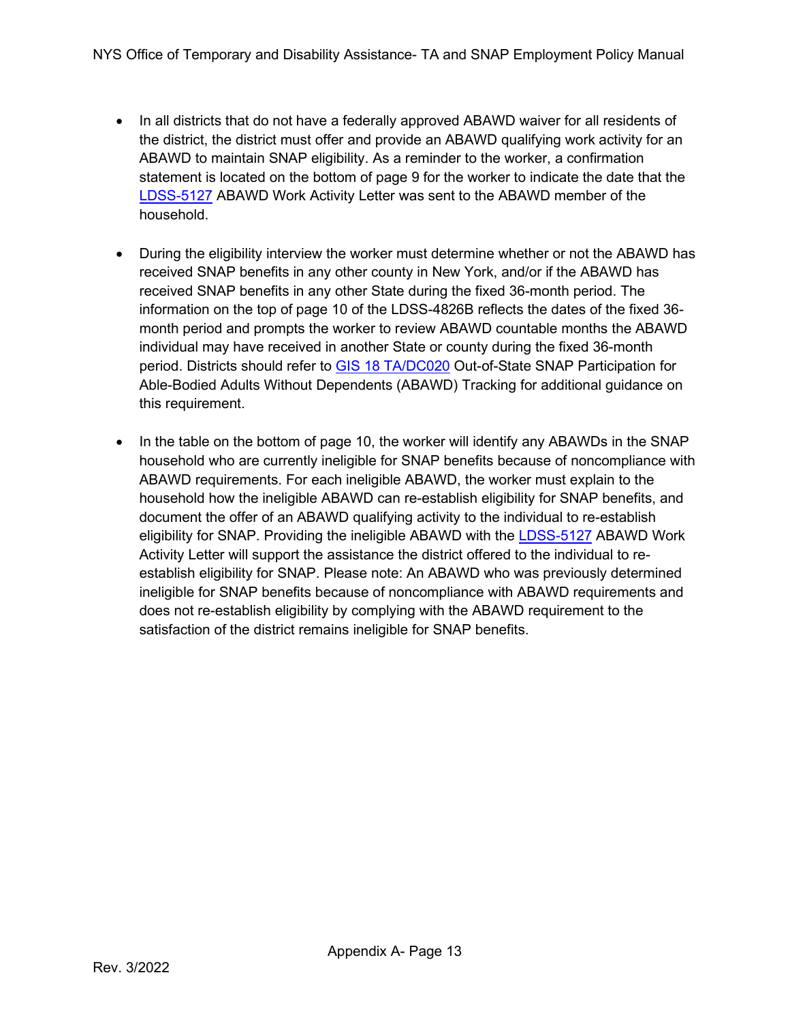- In all districts that do not have a federally approved ABAWD waiver for all residents of the district, the district must offer and provide an ABAWD qualifying work activity for an ABAWD to maintain SNAP eligibility. As a reminder to the worker, a confirmation statement is located on the bottom of page 9 for the worker to indicate the date that the [LDSS-5127](https://otda.state.nyenet/ldss_eforms/eforms/5127.pdf) ABAWD Work Activity Letter was sent to the ABAWD member of the household.
- During the eligibility interview the worker must determine whether or not the ABAWD has received SNAP benefits in any other county in New York, and/or if the ABAWD has received SNAP benefits in any other State during the fixed 36-month period. The information on the top of page 10 of the LDSS-4826B reflects the dates of the fixed 36 month period and prompts the worker to review ABAWD countable months the ABAWD individual may have received in another State or county during the fixed 36-month period. Districts should refer to [GIS 18 TA/DC020](https://otda.ny.gov/policy/gis/2018/18DC020.pdf) Out-of-State SNAP Participation for Able-Bodied Adults Without Dependents (ABAWD) Tracking for additional guidance on this requirement.
- <span id="page-12-0"></span>• In the table on the bottom of page 10, the worker will identify any ABAWDs in the SNAP household who are currently ineligible for SNAP benefits because of noncompliance with ABAWD requirements. For each ineligible ABAWD, the worker must explain to the household how the ineligible ABAWD can re-establish eligibility for SNAP benefits, and document the offer of an ABAWD qualifying activity to the individual to re-establish eligibility for SNAP. Providing the ineligible ABAWD with the [LDSS-5127](https://otda.state.nyenet/ldss_eforms/eforms/5127.pdf#page=1) ABAWD Work Activity Letter will support the assistance the district offered to the individual to reestablish eligibility for SNAP. Please note: An ABAWD who was previously determined ineligible for SNAP benefits because of noncompliance with ABAWD requirements and does not re-establish eligibility by complying with the ABAWD requirement to the satisfaction of the district remains ineligible for SNAP benefits.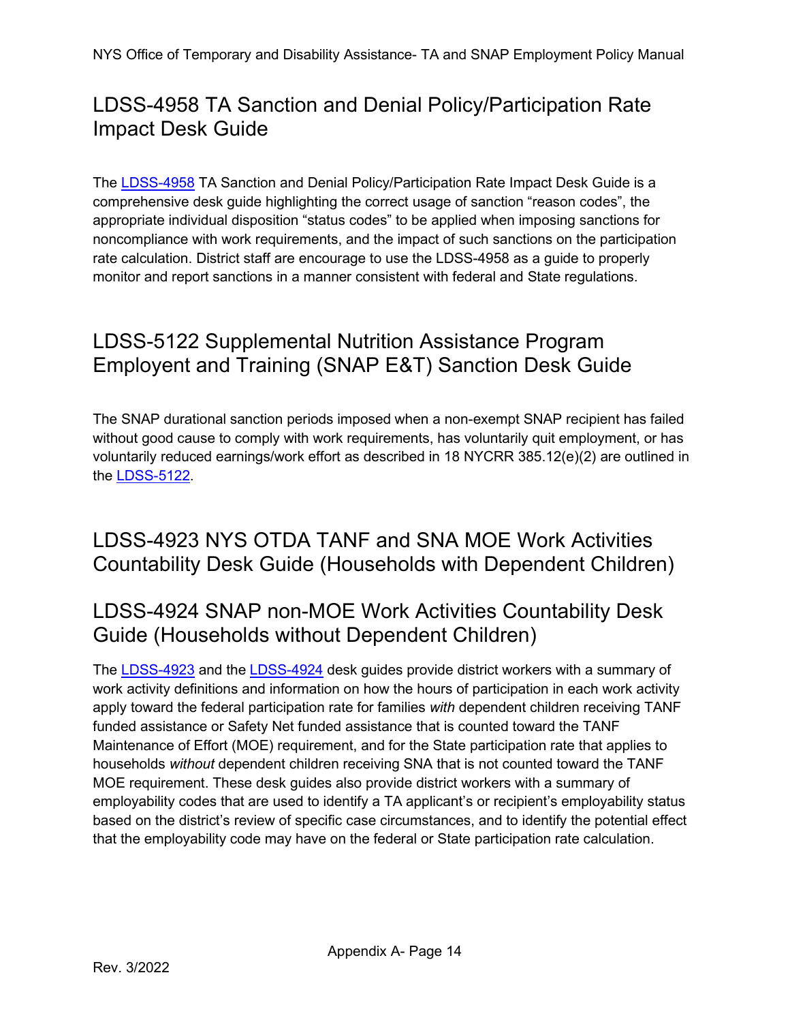## LDSS-4958 TA Sanction and Denial Policy/Participation Rate Impact Desk Guide

The [LDSS-4958](https://otda.state.nyenet/ldss_eforms/eforms/4958.pdf) TA Sanction and Denial Policy/Participation Rate Impact Desk Guide is a comprehensive desk guide highlighting the correct usage of sanction "reason codes", the appropriate individual disposition "status codes" to be applied when imposing sanctions for noncompliance with work requirements, and the impact of such sanctions on the participation rate calculation. District staff are encourage to use the LDSS-4958 as a guide to properly monitor and report sanctions in a manner consistent with federal and State regulations.

## <span id="page-13-0"></span>LDSS-5122 Supplemental Nutrition Assistance Program Employent and Training (SNAP E&T) Sanction Desk Guide

The SNAP durational sanction periods imposed when a non-exempt SNAP recipient has failed without good cause to comply with work requirements, has voluntarily quit employment, or has voluntarily reduced earnings/work effort as described in 18 NYCRR 385.12(e)(2) are outlined in the [LDSS-5122.](https://otda.state.nyenet/ldss_eforms/eforms/5122.pdf)

### <span id="page-13-1"></span>LDSS-4923 NYS OTDA TANF and SNA MOE Work Activities Countability Desk Guide (Households with Dependent Children)

### <span id="page-13-2"></span>LDSS-4924 SNAP non-MOE Work Activities Countability Desk Guide (Households without Dependent Children)

The [LDSS-4923](https://otda.state.nyenet/ldss_eforms/eforms/4923.pdf) and the [LDSS-4924](https://otda.state.nyenet/ldss_eforms/eforms/4924.pdf) desk guides provide district workers with a summary of work activity definitions and information on how the hours of participation in each work activity apply toward the federal participation rate for families *with* dependent children receiving TANF funded assistance or Safety Net funded assistance that is counted toward the TANF Maintenance of Effort (MOE) requirement, and for the State participation rate that applies to households *without* dependent children receiving SNA that is not counted toward the TANF MOE requirement. These desk guides also provide district workers with a summary of employability codes that are used to identify a TA applicant's or recipient's employability status based on the district's review of specific case circumstances, and to identify the potential effect that the employability code may have on the federal or State participation rate calculation.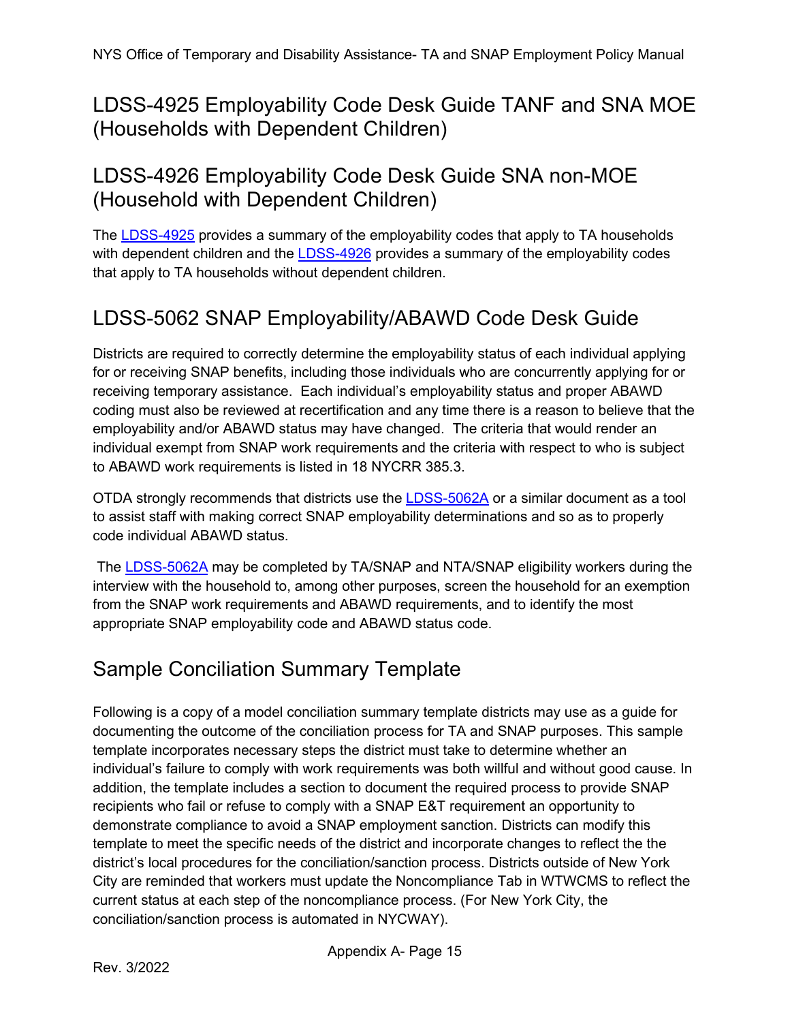<span id="page-14-0"></span>LDSS-4925 Employability Code Desk Guide TANF and SNA MOE (Households with Dependent Children)

## <span id="page-14-1"></span>LDSS-4926 Employability Code Desk Guide SNA non-MOE (Household with Dependent Children)

The [LDSS-4925](https://otda.state.nyenet/ldss_eforms/eforms/4925.pdf) provides a summary of the employability codes that apply to TA households with dependent children and the [LDSS-4926](https://otda.state.nyenet/ldss_eforms/eforms/4926.pdf) provides a summary of the employability codes that apply to TA households without dependent children.

## <span id="page-14-2"></span>LDSS-5062 SNAP Employability/ABAWD Code Desk Guide

Districts are required to correctly determine the employability status of each individual applying for or receiving SNAP benefits, including those individuals who are concurrently applying for or receiving temporary assistance. Each individual's employability status and proper ABAWD coding must also be reviewed at recertification and any time there is a reason to believe that the employability and/or ABAWD status may have changed. The criteria that would render an individual exempt from SNAP work requirements and the criteria with respect to who is subject to ABAWD work requirements is listed in 18 NYCRR 385.3.

OTDA strongly recommends that districts use the [LDSS-5062A](https://otda.state.nyenet/ldss_eforms/eforms/5062A.pdf) or a similar document as a tool to assist staff with making correct SNAP employability determinations and so as to properly code individual ABAWD status.

The [LDSS-5062A](https://otda.state.nyenet/ldss_eforms/eforms/5062A.pdf) may be completed by TA/SNAP and NTA/SNAP eligibility workers during the interview with the household to, among other purposes, screen the household for an exemption from the SNAP work requirements and ABAWD requirements, and to identify the most appropriate SNAP employability code and ABAWD status code.

## <span id="page-14-3"></span>Sample Conciliation Summary Template

Following is a copy of a model conciliation summary template districts may use as a guide for documenting the outcome of the conciliation process for TA and SNAP purposes. This sample template incorporates necessary steps the district must take to determine whether an individual's failure to comply with work requirements was both willful and without good cause. In addition, the template includes a section to document the required process to provide SNAP recipients who fail or refuse to comply with a SNAP E&T requirement an opportunity to demonstrate compliance to avoid a SNAP employment sanction. Districts can modify this template to meet the specific needs of the district and incorporate changes to reflect the the district's local procedures for the conciliation/sanction process. Districts outside of New York City are reminded that workers must update the Noncompliance Tab in WTWCMS to reflect the current status at each step of the noncompliance process. (For New York City, the conciliation/sanction process is automated in NYCWAY).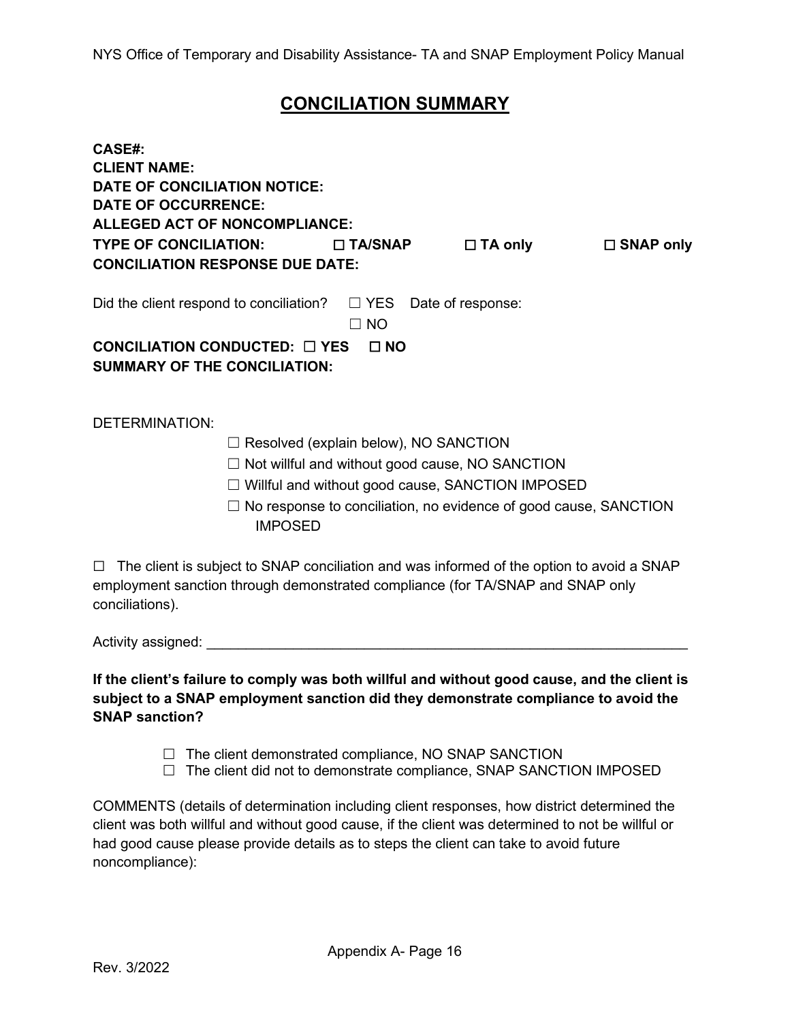### **CONCILIATION SUMMARY**

| <b>CASE#:</b>                                                                            |                                                                                           |                              |                  |  |  |  |  |
|------------------------------------------------------------------------------------------|-------------------------------------------------------------------------------------------|------------------------------|------------------|--|--|--|--|
| <b>CLIENT NAME:</b>                                                                      |                                                                                           |                              |                  |  |  |  |  |
| <b>DATE OF CONCILIATION NOTICE:</b>                                                      |                                                                                           |                              |                  |  |  |  |  |
| <b>DATE OF OCCURRENCE:</b>                                                               |                                                                                           |                              |                  |  |  |  |  |
| <b>ALLEGED ACT OF NONCOMPLIANCE:</b>                                                     |                                                                                           |                              |                  |  |  |  |  |
| <b>TYPE OF CONCILIATION:</b>                                                             | $\Box$ TA/SNAP                                                                            | $\Box$ TA only               | $\Box$ SNAP only |  |  |  |  |
| <b>CONCILIATION RESPONSE DUE DATE:</b>                                                   |                                                                                           |                              |                  |  |  |  |  |
| Did the client respond to conciliation?                                                  |                                                                                           | $\Box$ YES Date of response: |                  |  |  |  |  |
|                                                                                          | <b>NO</b><br>П                                                                            |                              |                  |  |  |  |  |
|                                                                                          |                                                                                           |                              |                  |  |  |  |  |
| CONCILIATION CONDUCTED: $\Box$ YES<br>$\Box$ NO                                          |                                                                                           |                              |                  |  |  |  |  |
| <b>SUMMARY OF THE CONCILIATION:</b>                                                      |                                                                                           |                              |                  |  |  |  |  |
|                                                                                          |                                                                                           |                              |                  |  |  |  |  |
|                                                                                          |                                                                                           |                              |                  |  |  |  |  |
| <b>DETERMINATION:</b>                                                                    |                                                                                           |                              |                  |  |  |  |  |
| Resolved (explain below), NO SANCTION                                                    |                                                                                           |                              |                  |  |  |  |  |
| Not willful and without good cause, NO SANCTION                                          |                                                                                           |                              |                  |  |  |  |  |
| Willful and without good cause, SANCTION IMPOSED                                         |                                                                                           |                              |                  |  |  |  |  |
|                                                                                          | No response to conciliation, no evidence of good cause, SANCTION                          |                              |                  |  |  |  |  |
|                                                                                          | <b>IMPOSED</b>                                                                            |                              |                  |  |  |  |  |
|                                                                                          |                                                                                           |                              |                  |  |  |  |  |
| $\Box$<br>employment sanction through demonstrated compliance (for TA/SNAP and SNAP only | The client is subject to SNAP conciliation and was informed of the option to avoid a SNAP |                              |                  |  |  |  |  |

conciliations).

Activity assigned:  $\overline{a}$ 

**If the client's failure to comply was both willful and without good cause, and the client is subject to a SNAP employment sanction did they demonstrate compliance to avoid the SNAP sanction?**

 $\Box$  The client demonstrated compliance, NO SNAP SANCTION

 $\Box$  The client did not to demonstrate compliance, SNAP SANCTION IMPOSED

COMMENTS (details of determination including client responses, how district determined the client was both willful and without good cause, if the client was determined to not be willful or had good cause please provide details as to steps the client can take to avoid future noncompliance):